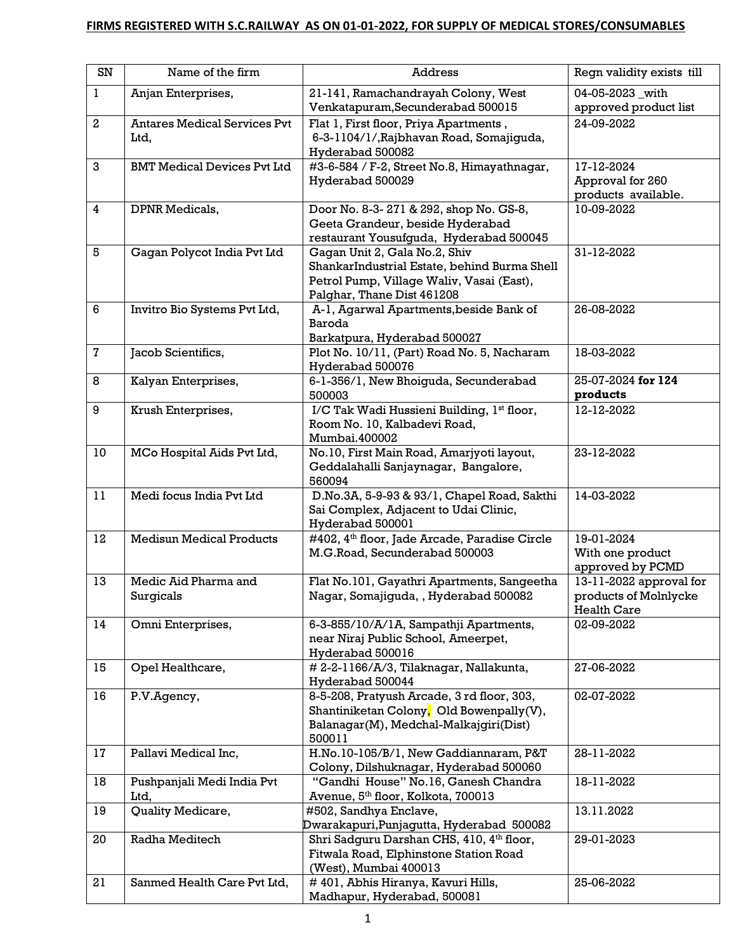## **FIRMS REGISTERED WITH S.C.RAILWAY AS ON 01-01-2022, FOR SUPPLY OF MEDICAL STORES/CONSUMABLES**

| SN             | Name of the firm                            | <b>Address</b>                                                                                                                                           | Regn validity exists till                                              |
|----------------|---------------------------------------------|----------------------------------------------------------------------------------------------------------------------------------------------------------|------------------------------------------------------------------------|
| $\bf{l}$       | Anjan Enterprises,                          | 21-141, Ramachandrayah Colony, West                                                                                                                      | 04-05-2023_with                                                        |
|                |                                             | Venkatapuram, Secunderabad 500015                                                                                                                        | approved product list                                                  |
| $\overline{2}$ | <b>Antares Medical Services Pvt</b><br>Ltd, | Flat 1, First floor, Priya Apartments,<br>6-3-1104/1/, Rajbhavan Road, Somajiguda,<br>Hyderabad 500082                                                   | 24-09-2022                                                             |
| 3              | <b>BMT Medical Devices Pvt Ltd</b>          | #3-6-584 / F-2, Street No.8, Himayathnagar,<br>Hyderabad 500029                                                                                          | 17-12-2024<br>Approval for 260<br>products available.                  |
| 4              | DPNR Medicals,                              | Door No. 8-3-271 & 292, shop No. GS-8,<br>Geeta Grandeur, beside Hyderabad<br>restaurant Yousufguda, Hyderabad 500045                                    | 10-09-2022                                                             |
| 5              | Gagan Polycot India Pvt Ltd                 | Gagan Unit 2, Gala No.2, Shiv<br>ShankarIndustrial Estate, behind Burma Shell<br>Petrol Pump, Village Waliv, Vasai (East),<br>Palghar, Thane Dist 461208 | 31-12-2022                                                             |
| 6              | Invitro Bio Systems Pvt Ltd,                | A-1, Agarwal Apartments, beside Bank of<br>Baroda<br>Barkatpura, Hyderabad 500027                                                                        | 26-08-2022                                                             |
| $\mathbf 7$    | Jacob Scientifics,                          | Plot No. 10/11, (Part) Road No. 5, Nacharam<br>Hyderabad 500076                                                                                          | 18-03-2022                                                             |
| 8              | Kalyan Enterprises,                         | 6-1-356/1, New Bhoiguda, Secunderabad<br>500003                                                                                                          | 25-07-2024 for 124<br>products                                         |
| 9              | Krush Enterprises,                          | I/C Tak Wadi Hussieni Building, 1st floor,<br>Room No. 10, Kalbadevi Road,<br>Mumbai.400002                                                              | 12-12-2022                                                             |
| 10             | MCo Hospital Aids Pvt Ltd,                  | No.10, First Main Road, Amarjyoti layout,<br>Geddalahalli Sanjaynagar, Bangalore,<br>560094                                                              | 23-12-2022                                                             |
| 11             | Medi focus India Pvt Ltd                    | D.No.3A, 5-9-93 & 93/1, Chapel Road, Sakthi<br>Sai Complex, Adjacent to Udai Clinic,<br>Hyderabad 500001                                                 | 14-03-2022                                                             |
| 12             | Medisun Medical Products                    | #402, 4 <sup>th</sup> floor, Jade Arcade, Paradise Circle<br>M.G.Road, Secunderabad 500003                                                               | 19-01-2024<br>With one product<br>approved by PCMD                     |
| 13             | Medic Aid Pharma and<br>Surgicals           | Flat No.101, Gayathri Apartments, Sangeetha<br>Nagar, Somajiguda, , Hyderabad 500082                                                                     | 13-11-2022 approval for<br>products of Molnlycke<br><b>Health Care</b> |
| 14             | Omni Enterprises,                           | 6-3-855/10/A/1A, Sampathji Apartments,<br>near Niraj Public School, Ameerpet,<br>Hyderabad 500016                                                        | 02-09-2022                                                             |
| 15             | Opel Healthcare,                            | #2-2-1166/A/3, Tilaknagar, Nallakunta,<br>Hyderabad 500044                                                                                               | 27-06-2022                                                             |
| 16             | P.V.Agency,                                 | 8-5-208, Pratyush Arcade, 3rd floor, 303,<br>Shantiniketan Colony, Old Bowenpally(V),<br>Balanagar(M), Medchal-Malkajgiri(Dist)<br>500011                | 02-07-2022                                                             |
| 17             | Pallavi Medical Inc,                        | H.No.10-105/B/1, New Gaddiannaram, P&T<br>Colony, Dilshuknagar, Hyderabad 500060                                                                         | 28-11-2022                                                             |
| 18             | Pushpanjali Medi India Pvt<br>Ltd,          | "Gandhi House" No.16, Ganesh Chandra<br>Avenue, 5th floor, Kolkota, 700013                                                                               | 18-11-2022                                                             |
| 19             | Quality Medicare,                           | #502, Sandhya Enclave,<br>Dwarakapuri,Punjagutta, Hyderabad 500082                                                                                       | 13.11.2022                                                             |
| 20             | Radha Meditech                              | Shri Sadguru Darshan CHS, 410, 4 <sup>th</sup> floor,<br>Fitwala Road, Elphinstone Station Road<br>(West), Mumbai 400013                                 | 29-01-2023                                                             |
| 21             | Sanmed Health Care Pvt Ltd,                 | #401, Abhis Hiranya, Kavuri Hills,<br>Madhapur, Hyderabad, 500081                                                                                        | 25-06-2022                                                             |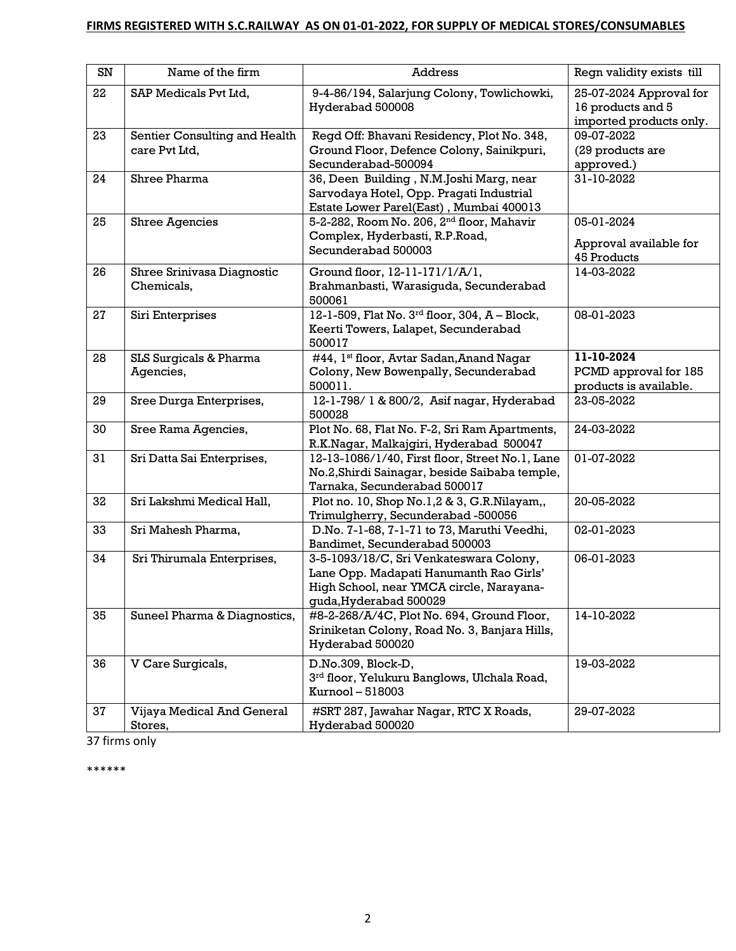## **FIRMS REGISTERED WITH S.C.RAILWAY AS ON 01-01-2022, FOR SUPPLY OF MEDICAL STORES/CONSUMABLES**

| SN | Name of the firm                               | <b>Address</b>                                                                                                                                           | Regn validity exists till                                               |
|----|------------------------------------------------|----------------------------------------------------------------------------------------------------------------------------------------------------------|-------------------------------------------------------------------------|
| 22 | SAP Medicals Pvt Ltd,                          | 9-4-86/194, Salarjung Colony, Towlichowki,<br>Hyderabad 500008                                                                                           | 25-07-2024 Approval for<br>16 products and 5<br>imported products only. |
| 23 | Sentier Consulting and Health<br>care Pvt Ltd, | Regd Off: Bhavani Residency, Plot No. 348,<br>Ground Floor, Defence Colony, Sainikpuri,<br>Secunderabad-500094                                           | 09-07-2022<br>(29 products are<br>approved.)                            |
| 24 | Shree Pharma                                   | 36, Deen Building, N.M.Joshi Marg, near<br>Sarvodaya Hotel, Opp. Pragati Industrial<br>Estate Lower Parel(East), Mumbai 400013                           | 31-10-2022                                                              |
| 25 | <b>Shree Agencies</b>                          | 5-2-282, Room No. 206, 2 <sup>nd</sup> floor, Mahavir<br>Complex, Hyderbasti, R.P.Road,<br>Secunderabad 500003                                           | 05-01-2024<br>Approval available for<br>45 Products                     |
| 26 | Shree Srinivasa Diagnostic<br>Chemicals,       | Ground floor, 12-11-171/1/A/1,<br>Brahmanbasti, Warasiguda, Secunderabad<br>500061                                                                       | 14-03-2022                                                              |
| 27 | Siri Enterprises                               | 12-1-509, Flat No. $3^{rd}$ floor, 304, A - Block,<br>Keerti Towers, Lalapet, Secunderabad<br>500017                                                     | 08-01-2023                                                              |
| 28 | SLS Surgicals & Pharma<br>Agencies,            | #44, 1st floor, Avtar Sadan, Anand Nagar<br>Colony, New Bowenpally, Secunderabad<br>500011.                                                              | 11-10-2024<br>PCMD approval for 185<br>products is available.           |
| 29 | Sree Durga Enterprises,                        | 12-1-798/1 & 800/2, Asif nagar, Hyderabad<br>500028                                                                                                      | 23-05-2022                                                              |
| 30 | Sree Rama Agencies,                            | Plot No. 68, Flat No. F-2, Sri Ram Apartments,<br>R.K.Nagar, Malkajgiri, Hyderabad 500047                                                                | 24-03-2022                                                              |
| 31 | Sri Datta Sai Enterprises,                     | 12-13-1086/1/40, First floor, Street No.1, Lane<br>No.2, Shirdi Sainagar, beside Saibaba temple,<br>Tarnaka, Secunderabad 500017                         | 01-07-2022                                                              |
| 32 | Sri Lakshmi Medical Hall,                      | Plot no. 10, Shop No.1,2 & 3, G.R.Nilayam,,<br>Trimulgherry, Secunderabad -500056                                                                        | 20-05-2022                                                              |
| 33 | Sri Mahesh Pharma,                             | D.No. 7-1-68, 7-1-71 to 73, Maruthi Veedhi,<br>Bandimet, Secunderabad 500003                                                                             | 02-01-2023                                                              |
| 34 | Sri Thirumala Enterprises,                     | 3-5-1093/18/C, Sri Venkateswara Colony,<br>Lane Opp. Madapati Hanumanth Rao Girls'<br>High School, near YMCA circle, Narayana-<br>guda, Hyderabad 500029 | 06-01-2023                                                              |
| 35 | Suneel Pharma & Diagnostics,                   | #8-2-268/A/4C, Plot No. 694, Ground Floor,<br>Sriniketan Colony, Road No. 3, Banjara Hills,<br>Hyderabad 500020                                          | 14-10-2022                                                              |
| 36 | V Care Surgicals,                              | D.No.309, Block-D,<br>3rd floor, Yelukuru Banglows, Ulchala Road,<br>Kurnool - 518003                                                                    | 19-03-2022                                                              |
| 37 | Vijaya Medical And General<br>Stores,          | #SRT 287, Jawahar Nagar, RTC X Roads,<br>Hyderabad 500020                                                                                                | 29-07-2022                                                              |

37 firms only

\*\*\*\*\*\*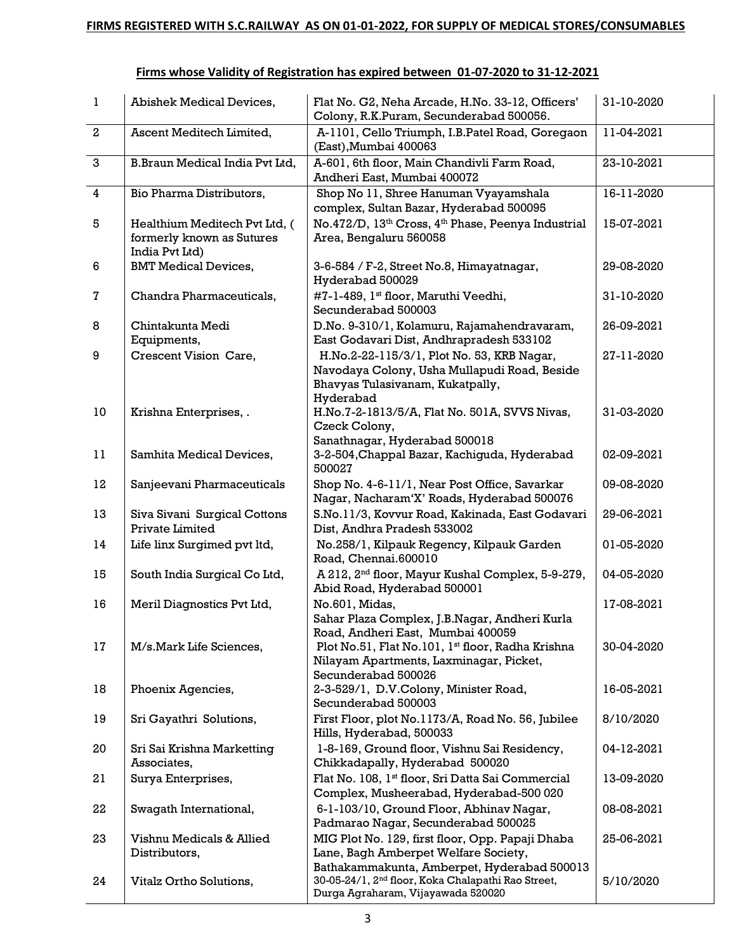| $\mathbf{1}$   | Abishek Medical Devices,                                                     | Flat No. G2, Neha Arcade, H.No. 33-12, Officers'<br>Colony, R.K.Puram, Secunderabad 500056.                                                              | 31-10-2020 |
|----------------|------------------------------------------------------------------------------|----------------------------------------------------------------------------------------------------------------------------------------------------------|------------|
| $\mathbf{2}$   | Ascent Meditech Limited,                                                     | A-1101, Cello Triumph, I.B.Patel Road, Goregaon<br>(East), Mumbai 400063                                                                                 | 11-04-2021 |
| $\mathbf{3}$   | B.Braun Medical India Pvt Ltd.                                               | A-601, 6th floor, Main Chandivli Farm Road,<br>Andheri East, Mumbai 400072                                                                               | 23-10-2021 |
| $\overline{4}$ | Bio Pharma Distributors,                                                     | Shop No 11, Shree Hanuman Vyayamshala<br>complex, Sultan Bazar, Hyderabad 500095                                                                         | 16-11-2020 |
| 5              | Healthium Meditech Pvt Ltd, (<br>formerly known as Sutures<br>India Pvt Ltd) | No.472/D, 13 <sup>th</sup> Cross, 4 <sup>th</sup> Phase, Peenya Industrial<br>Area, Bengaluru 560058                                                     | 15-07-2021 |
| 6              | <b>BMT</b> Medical Devices,                                                  | 3-6-584 / F-2, Street No.8, Himayatnagar,<br>Hyderabad 500029                                                                                            | 29-08-2020 |
| 7              | Chandra Pharmaceuticals,                                                     | #7-1-489, 1st floor, Maruthi Veedhi,<br>Secunderabad 500003                                                                                              | 31-10-2020 |
| 8              | Chintakunta Medi<br>Equipments,                                              | D.No. 9-310/1, Kolamuru, Rajamahendravaram,<br>East Godavari Dist, Andhrapradesh 533102                                                                  | 26-09-2021 |
| 9              | Crescent Vision Care,                                                        | H.No.2-22-115/3/1, Plot No. 53, KRB Nagar,<br>Navodaya Colony, Usha Mullapudi Road, Beside<br>Bhavyas Tulasivanam, Kukatpally,<br>Hyderabad              | 27-11-2020 |
| 10             | Krishna Enterprises, .                                                       | H.No.7-2-1813/5/A, Flat No. 501A, SVVS Nivas,<br>Czeck Colony,<br>Sanathnagar, Hyderabad 500018                                                          | 31-03-2020 |
| 11             | Samhita Medical Devices,                                                     | 3-2-504, Chappal Bazar, Kachiguda, Hyderabad<br>500027                                                                                                   | 02-09-2021 |
| 12             | Sanjeevani Pharmaceuticals                                                   | Shop No. 4-6-11/1, Near Post Office, Savarkar<br>Nagar, Nacharam'X' Roads, Hyderabad 500076                                                              | 09-08-2020 |
| 13             | Siva Sivani Surgical Cottons<br>Private Limited                              | S.No.11/3, Kovvur Road, Kakinada, East Godavari<br>Dist, Andhra Pradesh 533002                                                                           | 29-06-2021 |
| 14             | Life linx Surgimed pvt ltd,                                                  | No.258/1, Kilpauk Regency, Kilpauk Garden<br>Road, Chennai.600010                                                                                        | 01-05-2020 |
| 15             | South India Surgical Co Ltd,                                                 | A 212, 2 <sup>nd</sup> floor, Mayur Kushal Complex, 5-9-279,<br>Abid Road, Hyderabad 500001                                                              | 04-05-2020 |
| 16             | Meril Diagnostics Pvt Ltd,                                                   | No.601, Midas,<br>Sahar Plaza Complex, J.B.Nagar, Andheri Kurla                                                                                          | 17-08-2021 |
| 17             | M/s.Mark Life Sciences,                                                      | Road, Andheri East, Mumbai 400059<br>Plot No.51, Flat No.101, 1st floor, Radha Krishna<br>Nilayam Apartments, Laxminagar, Picket,<br>Secunderabad 500026 | 30-04-2020 |
| 18             | Phoenix Agencies,                                                            | 2-3-529/1, D.V.Colony, Minister Road,<br>Secunderabad 500003                                                                                             | 16-05-2021 |
| 19             | Sri Gayathri Solutions,                                                      | First Floor, plot No.1173/A, Road No. 56, Jubilee<br>Hills, Hyderabad, 500033                                                                            | 8/10/2020  |
| 20             | Sri Sai Krishna Marketting<br>Associates,                                    | 1-8-169, Ground floor, Vishnu Sai Residency,<br>Chikkadapally, Hyderabad 500020                                                                          | 04-12-2021 |
| 21             | Surya Enterprises,                                                           | Flat No. 108, 1st floor, Sri Datta Sai Commercial<br>Complex, Musheerabad, Hyderabad-500 020                                                             | 13-09-2020 |
| 22             | Swagath International,                                                       | 6-1-103/10, Ground Floor, Abhinav Nagar,<br>Padmarao Nagar, Secunderabad 500025                                                                          | 08-08-2021 |
| 23             | Vishnu Medicals & Allied<br>Distributors,                                    | MIG Plot No. 129, first floor, Opp. Papaji Dhaba<br>Lane, Bagh Amberpet Welfare Society,                                                                 | 25-06-2021 |
| 24             | Vitalz Ortho Solutions,                                                      | Bathakammakunta, Amberpet, Hyderabad 500013<br>30-05-24/1, 2 <sup>nd</sup> floor, Koka Chalapathi Rao Street,<br>Durga Agraharam, Vijayawada 520020      | 5/10/2020  |

## **Firms whose Validity of Registration has expired between 01-07-2020 to 31-12-2021**